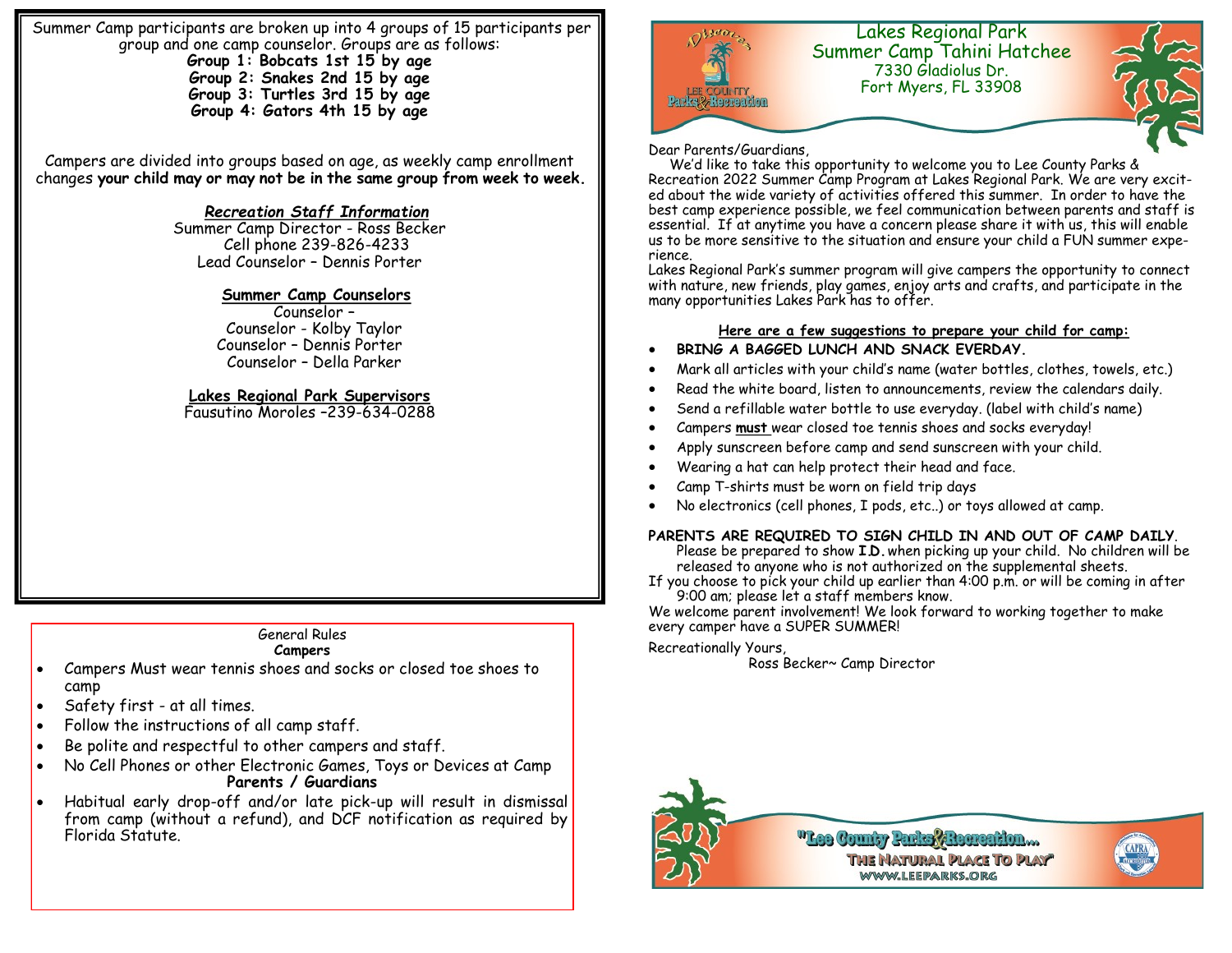Summer Camp participants are broken up into 4 groups of 15 participants per group and one camp counselor. Groups are as follows: **Group 1: Bobcats 1st 15 by age Group 2: Snakes 2nd 15 by age Group 3: Turtles 3rd 15 by age**

**Group 4: Gators 4th 15 by age**

Campers are divided into groups based on age, as weekly camp enrollment changes **your child may or may not be in the same group from week to week.** 

# *Recreation Staff Information*

Summer Camp Director - Ross Becker Cell phone 239-826-4233 Lead Counselor – Dennis Porter

## **Summer Camp Counselors**

 Counselor – Counselor - Kolby Taylor Counselor – Dennis Porter Counselor – Della Parker

# **Lakes Regional Park Supervisors**

Fausutino Moroles –239-634-0288

# General Rules

#### **Campers**

- Campers Must wear tennis shoes and socks or closed toe shoes to camp
- Safety first at all times.
- Follow the instructions of all camp staff.
- Be polite and respectful to other campers and staff.
- No Cell Phones or other Electronic Games, Toys or Devices at Camp **Parents / Guardians**
- Habitual early drop-off and/or late pick-up will result in dismissal from camp (without a refund), and DCF notification as required by Florida Statute.



#### Dear Parents/Guardians,

 We'd like to take this opportunity to welcome you to Lee County Parks & Recreation 2022 Summer Camp Program at Lakes Regional Park. We are very excited about the wide variety of activities offered this summer. In order to have the best camp experience possible, we feel communication between parents and staff is essential. If at anytime you have a concern please share it with us, this will enable us to be more sensitive to the situation and ensure your child a FUN summer experience.

Lakes Regional Park's summer program will give campers the opportunity to connect with nature, new friends, play games, enjoy arts and crafts, and participate in the many opportunities Lakes Park has to offer.

### **Here are a few suggestions to prepare your child for camp:**

#### **BRING A BAGGED LUNCH AND SNACK EVERDAY.**

- Mark all articles with your child's name (water bottles, clothes, towels, etc.)
- Read the white board, listen to announcements, review the calendars daily.
- Send a refillable water bottle to use everyday. (label with child's name)
- Campers **must** wear closed toe tennis shoes and socks everyday!
- Apply sunscreen before camp and send sunscreen with your child.
- Wearing a hat can help protect their head and face.
- Camp T-shirts must be worn on field trip days
- No electronics (cell phones, I pods, etc..) or toys allowed at camp.

## **PARENTS ARE REQUIRED TO SIGN CHILD IN AND OUT OF CAMP DAILY**.

Please be prepared to show **I.D.** when picking up your child. No children will be released to anyone who is not authorized on the supplemental sheets.

If you choose to pick your child up earlier than 4:00 p.m. or will be coming in after 9:00 am; please let a staff members know.

We welcome parent involvement! We look forward to working together to make every camper have a SUPER SUMMER!

#### Recreationally Yours,

Ross Becker~ Camp Director